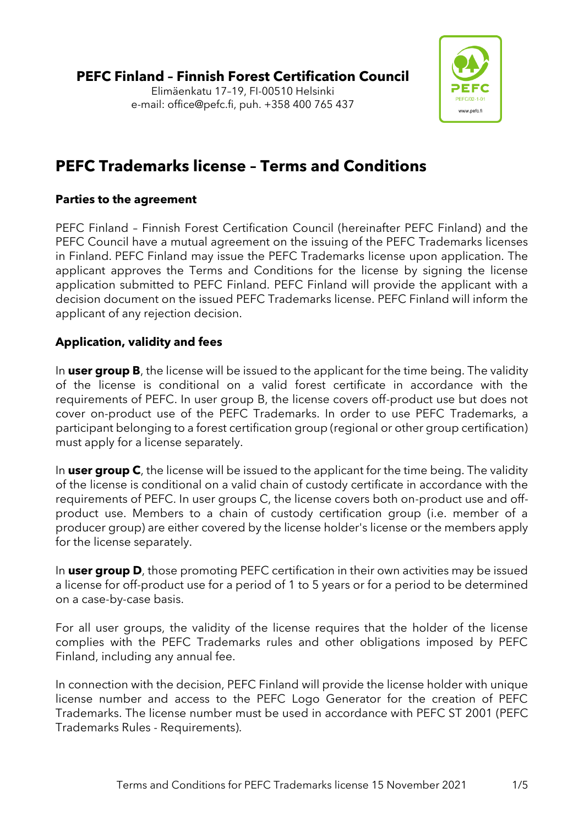

# **PEFC Trademarks license – Terms and Conditions**

# **Parties to the agreement**

PEFC Finland – Finnish Forest Certification Council (hereinafter PEFC Finland) and the PEFC Council have a mutual agreement on the issuing of the PEFC Trademarks licenses in Finland. PEFC Finland may issue the PEFC Trademarks license upon application. The applicant approves the Terms and Conditions for the license by signing the license application submitted to PEFC Finland. PEFC Finland will provide the applicant with a decision document on the issued PEFC Trademarks license. PEFC Finland will inform the applicant of any rejection decision.

# **Application, validity and fees**

In **user group B**, the license will be issued to the applicant for the time being. The validity of the license is conditional on a valid forest certificate in accordance with the requirements of PEFC. In user group B, the license covers off-product use but does not cover on-product use of the PEFC Trademarks. In order to use PEFC Trademarks, a participant belonging to a forest certification group (regional or other group certification) must apply for a license separately.

In **user group C**, the license will be issued to the applicant for the time being. The validity of the license is conditional on a valid chain of custody certificate in accordance with the requirements of PEFC. In user groups C, the license covers both on-product use and offproduct use. Members to a chain of custody certification group (i.e. member of a producer group) are either covered by the license holder's license or the members apply for the license separately.

In **user group D**, those promoting PEFC certification in their own activities may be issued a license for off-product use for a period of 1 to 5 years or for a period to be determined on a case-by-case basis.

For all user groups, the validity of the license requires that the holder of the license complies with the PEFC Trademarks rules and other obligations imposed by PEFC Finland, including any annual fee.

In connection with the decision, PEFC Finland will provide the license holder with unique license number and access to the PEFC Logo Generator for the creation of PEFC Trademarks. The license number must be used in accordance with PEFC ST 2001 (PEFC Trademarks Rules - Requirements).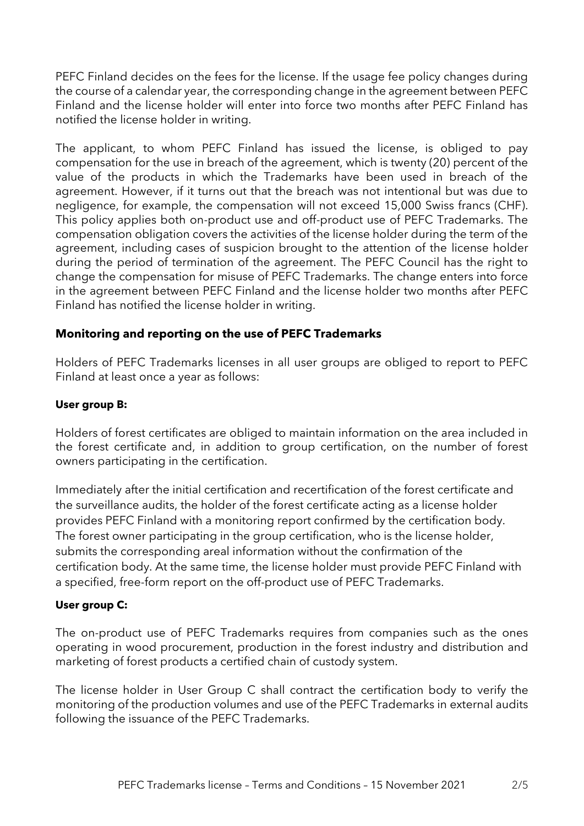PEFC Finland decides on the fees for the license. If the usage fee policy changes during the course of a calendar year, the corresponding change in the agreement between PEFC Finland and the license holder will enter into force two months after PEFC Finland has notified the license holder in writing.

The applicant, to whom PEFC Finland has issued the license, is obliged to pay compensation for the use in breach of the agreement, which is twenty (20) percent of the value of the products in which the Trademarks have been used in breach of the agreement. However, if it turns out that the breach was not intentional but was due to negligence, for example, the compensation will not exceed 15,000 Swiss francs (CHF). This policy applies both on-product use and off-product use of PEFC Trademarks. The compensation obligation covers the activities of the license holder during the term of the agreement, including cases of suspicion brought to the attention of the license holder during the period of termination of the agreement. The PEFC Council has the right to change the compensation for misuse of PEFC Trademarks. The change enters into force in the agreement between PEFC Finland and the license holder two months after PEFC Finland has notified the license holder in writing.

#### **Monitoring and reporting on the use of PEFC Trademarks**

Holders of PEFC Trademarks licenses in all user groups are obliged to report to PEFC Finland at least once a year as follows:

#### **User group B:**

Holders of forest certificates are obliged to maintain information on the area included in the forest certificate and, in addition to group certification, on the number of forest owners participating in the certification.

Immediately after the initial certification and recertification of the forest certificate and the surveillance audits, the holder of the forest certificate acting as a license holder provides PEFC Finland with a monitoring report confirmed by the certification body. The forest owner participating in the group certification, who is the license holder, submits the corresponding areal information without the confirmation of the certification body. At the same time, the license holder must provide PEFC Finland with a specified, free-form report on the off-product use of PEFC Trademarks.

#### **User group C:**

The on-product use of PEFC Trademarks requires from companies such as the ones operating in wood procurement, production in the forest industry and distribution and marketing of forest products a certified chain of custody system.

The license holder in User Group C shall contract the certification body to verify the monitoring of the production volumes and use of the PEFC Trademarks in external audits following the issuance of the PEFC Trademarks.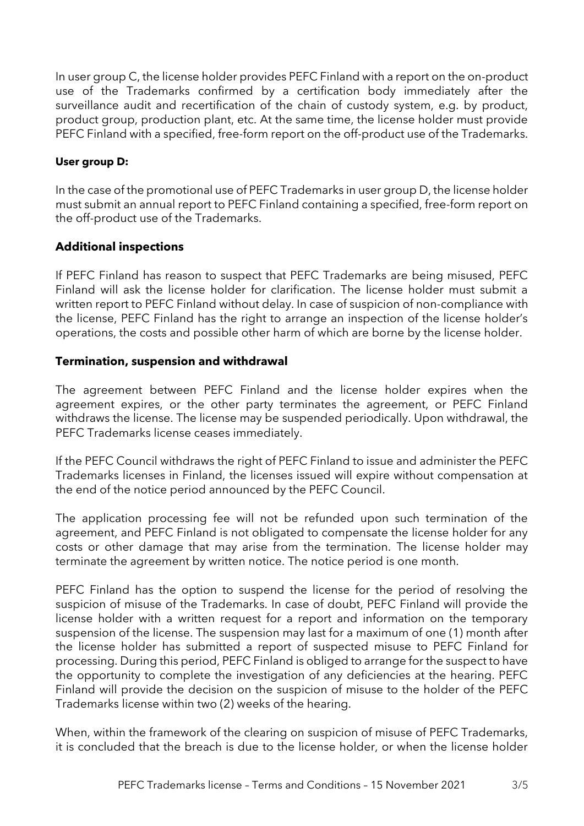In user group C, the license holder provides PEFC Finland with a report on the on-product use of the Trademarks confirmed by a certification body immediately after the surveillance audit and recertification of the chain of custody system, e.g. by product, product group, production plant, etc. At the same time, the license holder must provide PEFC Finland with a specified, free-form report on the off-product use of the Trademarks.

#### **User group D:**

In the case of the promotional use of PEFC Trademarks in user group D, the license holder must submit an annual report to PEFC Finland containing a specified, free-form report on the off-product use of the Trademarks.

#### **Additional inspections**

If PEFC Finland has reason to suspect that PEFC Trademarks are being misused, PEFC Finland will ask the license holder for clarification. The license holder must submit a written report to PEFC Finland without delay. In case of suspicion of non-compliance with the license, PEFC Finland has the right to arrange an inspection of the license holder's operations, the costs and possible other harm of which are borne by the license holder.

### **Termination, suspension and withdrawal**

The agreement between PEFC Finland and the license holder expires when the agreement expires, or the other party terminates the agreement, or PEFC Finland withdraws the license. The license may be suspended periodically. Upon withdrawal, the PEFC Trademarks license ceases immediately.

If the PEFC Council withdraws the right of PEFC Finland to issue and administer the PEFC Trademarks licenses in Finland, the licenses issued will expire without compensation at the end of the notice period announced by the PEFC Council.

The application processing fee will not be refunded upon such termination of the agreement, and PEFC Finland is not obligated to compensate the license holder for any costs or other damage that may arise from the termination. The license holder may terminate the agreement by written notice. The notice period is one month.

PEFC Finland has the option to suspend the license for the period of resolving the suspicion of misuse of the Trademarks. In case of doubt, PEFC Finland will provide the license holder with a written request for a report and information on the temporary suspension of the license. The suspension may last for a maximum of one (1) month after the license holder has submitted a report of suspected misuse to PEFC Finland for processing. During this period, PEFC Finland is obliged to arrange for the suspect to have the opportunity to complete the investigation of any deficiencies at the hearing. PEFC Finland will provide the decision on the suspicion of misuse to the holder of the PEFC Trademarks license within two (2) weeks of the hearing.

When, within the framework of the clearing on suspicion of misuse of PEFC Trademarks, it is concluded that the breach is due to the license holder, or when the license holder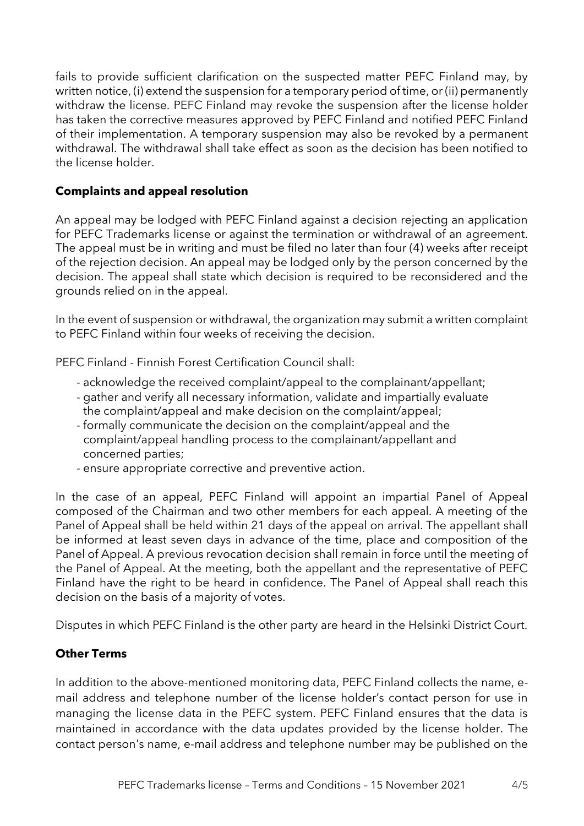fails to provide sufficient clarification on the suspected matter PEFC Finland may, by written notice, (i) extend the suspension for a temporary period of time, or (ii) permanently withdraw the license. PEFC Finland may revoke the suspension after the license holder has taken the corrective measures approved by PEFC Finland and notified PEFC Finland of their implementation. A temporary suspension may also be revoked by a permanent withdrawal. The withdrawal shall take effect as soon as the decision has been notified to the license holder.

## **Complaints and appeal resolution**

An appeal may be lodged with PEFC Finland against a decision rejecting an application for PEFC Trademarks license or against the termination or withdrawal of an agreement. The appeal must be in writing and must be filed no later than four (4) weeks after receipt of the rejection decision. An appeal may be lodged only by the person concerned by the decision. The appeal shall state which decision is required to be reconsidered and the grounds relied on in the appeal.

In the event of suspension or withdrawal, the organization may submit a written complaint to PEFC Finland within four weeks of receiving the decision.

PEFC Finland - Finnish Forest Certification Council shall:

- acknowledge the received complaint/appeal to the complainant/appellant;
- gather and verify all necessary information, validate and impartially evaluate the complaint/appeal and make decision on the complaint/appeal;
- formally communicate the decision on the complaint/appeal and the complaint/appeal handling process to the complainant/appellant and concerned parties;
- ensure appropriate corrective and preventive action.

In the case of an appeal, PEFC Finland will appoint an impartial Panel of Appeal composed of the Chairman and two other members for each appeal. A meeting of the Panel of Appeal shall be held within 21 days of the appeal on arrival. The appellant shall be informed at least seven days in advance of the time, place and composition of the Panel of Appeal. A previous revocation decision shall remain in force until the meeting of the Panel of Appeal. At the meeting, both the appellant and the representative of PEFC Finland have the right to be heard in confidence. The Panel of Appeal shall reach this decision on the basis of a majority of votes.

Disputes in which PEFC Finland is the other party are heard in the Helsinki District Court.

## **Other Terms**

In addition to the above-mentioned monitoring data, PEFC Finland collects the name, email address and telephone number of the license holder's contact person for use in managing the license data in the PEFC system. PEFC Finland ensures that the data is maintained in accordance with the data updates provided by the license holder. The contact person's name, e-mail address and telephone number may be published on the